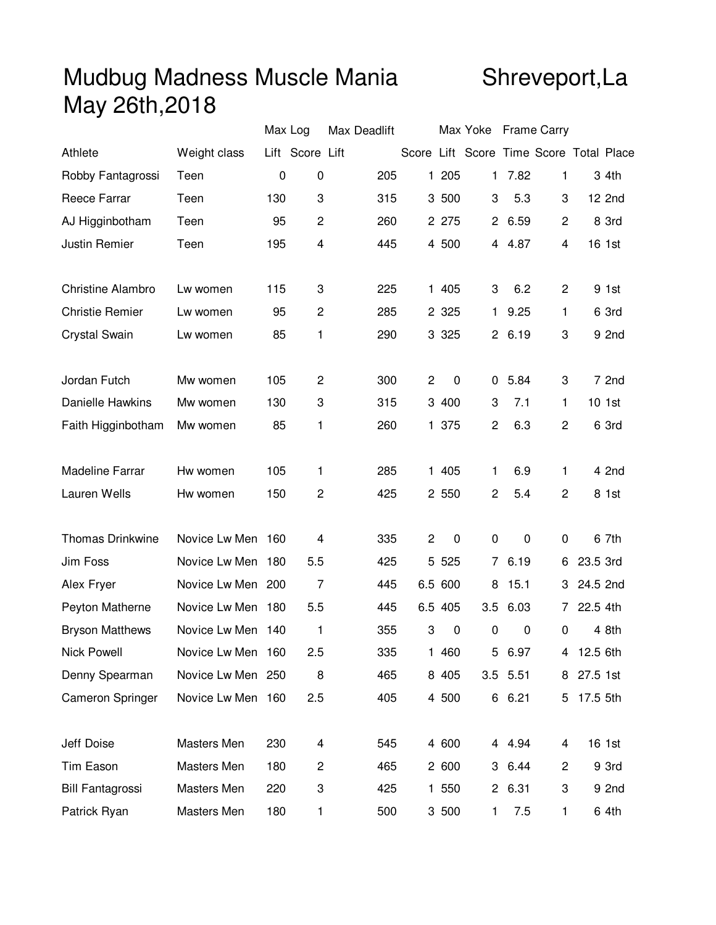## Mudbug Madness Muscle Mania Shreveport,La May 26th,2018

|                          |                   | Max Log |                 | Max Deadlift |                         |             | Max Yoke     |           | <b>Frame Carry</b>                      |            |        |
|--------------------------|-------------------|---------|-----------------|--------------|-------------------------|-------------|--------------|-----------|-----------------------------------------|------------|--------|
| Athlete                  | Weight class      |         | Lift Score Lift |              |                         |             |              |           | Score Lift Score Time Score Total Place |            |        |
| Robby Fantagrossi        | Teen              | 0       | $\mathbf 0$     | 205          |                         | 1 205       | $\mathbf{1}$ | 7.82      | 1                                       |            | 3 4th  |
| Reece Farrar             | Teen              | 130     | 3               | 315          |                         | 3 500       | 3            | 5.3       | 3                                       |            | 12 2nd |
| AJ Higginbotham          | Teen              | 95      | $\overline{c}$  | 260          |                         | 2 2 7 5     | $^{2}$       | 6.59      | 2                                       |            | 8 3rd  |
| Justin Remier            | Teen              | 195     | 4               | 445          |                         | 4 500       | 4            | 4.87      | 4                                       |            | 16 1st |
|                          |                   |         |                 |              |                         |             |              |           |                                         |            |        |
| <b>Christine Alambro</b> | Lw women          | 115     | 3               | 225          |                         | 1 405       | 3            | 6.2       | 2                                       |            | 9 1st  |
| <b>Christie Remier</b>   | Lw women          | 95      | $\overline{c}$  | 285          |                         | 2 3 2 5     | 1.           | 9.25      | 1                                       |            | 6 3rd  |
| Crystal Swain            | Lw women          | 85      | 1               | 290          |                         | 3 3 2 5     | $^{2}$       | 6.19      | 3                                       |            | 9 2nd  |
| Jordan Futch             | Mw women          | 105     | $\overline{c}$  | 300          | $\overline{\mathbf{c}}$ | 0           | 0            | 5.84      | 3                                       |            | 7 2nd  |
| Danielle Hawkins         | Mw women          | 130     | 3               | 315          |                         | 3 400       | 3            | 7.1       | 1                                       |            | 10 1st |
| Faith Higginbotham       | Mw women          | 85      | 1               | 260          |                         | 1 375       | 2            | 6.3       | $\overline{c}$                          |            | 6 3rd  |
|                          |                   |         |                 |              |                         |             |              |           |                                         |            |        |
| <b>Madeline Farrar</b>   | Hw women          | 105     | 1               | 285          |                         | 1 405       | 1            | 6.9       | 1                                       |            | 4 2nd  |
| Lauren Wells             | Hw women          | 150     | $\overline{c}$  | 425          |                         | 2 550       | 2            | 5.4       | 2                                       |            | 8 1st  |
| <b>Thomas Drinkwine</b>  | Novice Lw Men     | 160     | 4               | 335          | $\overline{c}$          | 0           | $\mathbf 0$  | 0         | 0                                       |            | 6 7th  |
| Jim Foss                 | Novice Lw Men 180 |         | 5.5             | 425          |                         | 5 5 2 5     | $7^{\circ}$  | 6.19      | 6                                       | 23.5 3rd   |        |
| Alex Fryer               | Novice Lw Men 200 |         | 7               | 445          |                         | 6.5 600     | 8            | 15.1      | 3                                       | 24.5 2nd   |        |
| Peyton Matherne          | Novice Lw Men 180 |         | 5.5             | 445          |                         | 6.5 405     | 3.5          | 6.03      | 7.                                      | 22.5 4th   |        |
| <b>Bryson Matthews</b>   | Novice Lw Men 140 |         | 1               | 355          | 3                       | $\mathbf 0$ | $\mathbf 0$  | $\pmb{0}$ | 0                                       |            | 4 8th  |
| Nick Powell              | Novice Lw Men 160 |         | 2.5             | 335          |                         | 1 460       | 5            | 6.97      | 4                                       | 12.5 6th   |        |
| Denny Spearman           | Novice Lw Men 250 |         | 8               | 465          |                         | 8 4 0 5     | 3.5          | 5.51      |                                         | 8 27.5 1st |        |
| <b>Cameron Springer</b>  | Novice Lw Men 160 |         | 2.5             | 405          |                         | 4 500       | 6            | 6.21      | 5                                       | 17.5 5th   |        |
|                          |                   |         |                 |              |                         |             |              |           |                                         |            |        |
| Jeff Doise               | Masters Men       | 230     | 4               | 545          |                         | 4 600       | 4            | 4.94      | 4                                       |            | 16 1st |
| <b>Tim Eason</b>         | Masters Men       | 180     | 2               | 465          |                         | 2 600       | 3            | 6.44      | 2                                       |            | 9 3rd  |
| <b>Bill Fantagrossi</b>  | Masters Men       | 220     | 3               | 425          |                         | 1 550       | $\mathbf{2}$ | 6.31      | 3                                       |            | 9 2nd  |
| Patrick Ryan             | Masters Men       | 180     | 1               | 500          |                         | 3 500       | 1            | 7.5       | 1                                       |            | 6 4th  |